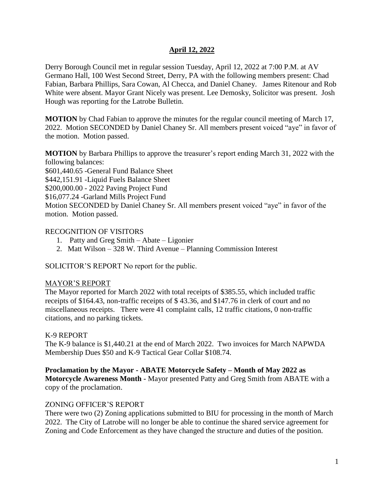Derry Borough Council met in regular session Tuesday, April 12, 2022 at 7:00 P.M. at AV Germano Hall, 100 West Second Street, Derry, PA with the following members present: Chad Fabian, Barbara Phillips, Sara Cowan, Al Checca, and Daniel Chaney. James Ritenour and Rob White were absent. Mayor Grant Nicely was present. Lee Demosky, Solicitor was present. Josh Hough was reporting for the Latrobe Bulletin.

**MOTION** by Chad Fabian to approve the minutes for the regular council meeting of March 17, 2022. Motion SECONDED by Daniel Chaney Sr. All members present voiced "aye" in favor of the motion. Motion passed.

**MOTION** by Barbara Phillips to approve the treasurer's report ending March 31, 2022 with the following balances:

\$601,440.65 -General Fund Balance Sheet \$442,151.91 -Liquid Fuels Balance Sheet \$200,000.00 - 2022 Paving Project Fund \$16,077.24 -Garland Mills Project Fund Motion SECONDED by Daniel Chaney Sr. All members present voiced "aye" in favor of the motion. Motion passed.

## RECOGNITION OF VISITORS

- 1. Patty and Greg Smith Abate Ligonier
- 2. Matt Wilson 328 W. Third Avenue Planning Commission Interest

SOLICITOR'S REPORT No report for the public.

### MAYOR'S REPORT

The Mayor reported for March 2022 with total receipts of \$385.55, which included traffic receipts of \$164.43, non-traffic receipts of \$ 43.36, and \$147.76 in clerk of court and no miscellaneous receipts. There were 41 complaint calls, 12 traffic citations, 0 non-traffic citations, and no parking tickets.

## K-9 REPORT

The K-9 balance is \$1,440.21 at the end of March 2022. Two invoices for March NAPWDA Membership Dues \$50 and K-9 Tactical Gear Collar \$108.74.

# **Proclamation by the Mayor - ABATE Motorcycle Safety – Month of May 2022 as**

**Motorcycle Awareness Month -** Mayor presented Patty and Greg Smith from ABATE with a copy of the proclamation.

### ZONING OFFICER'S REPORT

There were two (2) Zoning applications submitted to BIU for processing in the month of March 2022. The City of Latrobe will no longer be able to continue the shared service agreement for Zoning and Code Enforcement as they have changed the structure and duties of the position.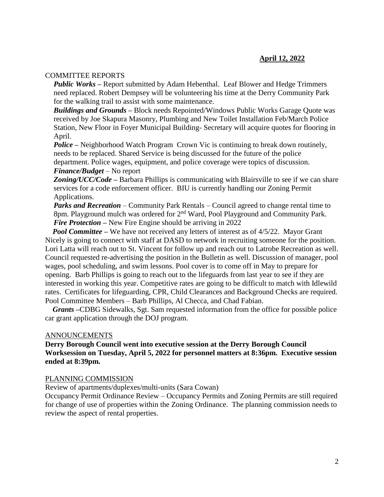#### COMMITTEE REPORTS

*Public Works –* Report submitted by Adam Hebenthal. Leaf Blower and Hedge Trimmers need replaced. Robert Dempsey will be volunteering his time at the Derry Community Park for the walking trail to assist with some maintenance.

*Buildings and Grounds –* Block needs Repointed/Windows Public Works Garage Quote was received by Joe Skapura Masonry, Plumbing and New Toilet Installation Feb/March Police Station, New Floor in Foyer Municipal Building- Secretary will acquire quotes for flooring in April.

*Police –* Neighborhood Watch Program Crown Vic is continuing to break down routinely, needs to be replaced. Shared Service is being discussed for the future of the police department. Police wages, equipment, and police coverage were topics of discussion. *Finance/Budget* – No report

**Zoning/UCC/Code –** Barbara Phillips is communicating with Blairsville to see if we can share services for a code enforcement officer. BIU is currently handling our Zoning Permit Applications.

*Parks and Recreation* – Community Park Rentals – Council agreed to change rental time to 8pm. Playground mulch was ordered for  $2<sup>nd</sup>$  Ward, Pool Playground and Community Park. *Fire Protection –* New Fire Engine should be arriving in 2022

*Pool Committee* – We have not received any letters of interest as of 4/5/22. Mayor Grant Nicely is going to connect with staff at DASD to network in recruiting someone for the position. Lori Latta will reach out to St. Vincent for follow up and reach out to Latrobe Recreation as well. Council requested re-advertising the position in the Bulletin as well. Discussion of manager, pool wages, pool scheduling, and swim lessons. Pool cover is to come off in May to prepare for opening. Barb Phillips is going to reach out to the lifeguards from last year to see if they are interested in working this year. Competitive rates are going to be difficult to match with Idlewild rates. Certificates for lifeguarding, CPR, Child Clearances and Background Checks are required. Pool Committee Members – Barb Phillips, Al Checca, and Chad Fabian.

 *Grants –*CDBG Sidewalks, Sgt. Sam requested information from the office for possible police car grant application through the DOJ program.

#### ANNOUNCEMENTS

**Derry Borough Council went into executive session at the Derry Borough Council Worksession on Tuesday, April 5, 2022 for personnel matters at 8:36pm. Executive session ended at 8:39pm.** 

#### PLANNING COMMISSION

Review of apartments/duplexes/multi-units (Sara Cowan)

Occupancy Permit Ordinance Review – Occupancy Permits and Zoning Permits are still required for change of use of properties within the Zoning Ordinance. The planning commission needs to review the aspect of rental properties.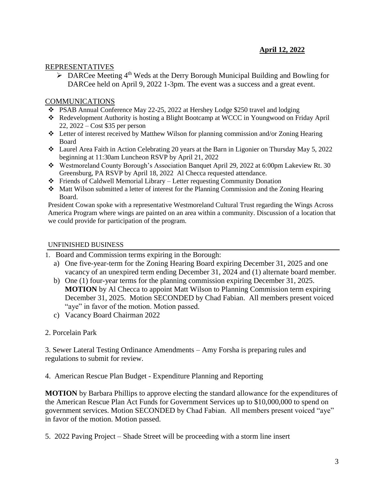## REPRESENTATIVES

 $\triangleright$  DARCee Meeting 4<sup>th</sup> Weds at the Derry Borough Municipal Building and Bowling for DARCee held on April 9, 2022 1-3pm. The event was a success and a great event.

## COMMUNICATIONS

- PSAB Annual Conference May 22-25, 2022 at Hershey Lodge \$250 travel and lodging
- Redevelopment Authority is hosting a Blight Bootcamp at WCCC in Youngwood on Friday April 22, 2022 – Cost \$35 per person
- Letter of interest received by Matthew Wilson for planning commission and/or Zoning Hearing Board
- Laurel Area Faith in Action Celebrating 20 years at the Barn in Ligonier on Thursday May 5, 2022 beginning at 11:30am Luncheon RSVP by April 21, 2022
- Westmoreland County Borough's Association Banquet April 29, 2022 at 6:00pm Lakeview Rt. 30 Greensburg, PA RSVP by April 18, 2022 Al Checca requested attendance.
- Friends of Caldwell Memorial Library Letter requesting Community Donation
- Matt Wilson submitted a letter of interest for the Planning Commission and the Zoning Hearing Board.

President Cowan spoke with a representative Westmoreland Cultural Trust regarding the Wings Across America Program where wings are painted on an area within a community. Discussion of a location that we could provide for participation of the program.

## UNFINISHED BUSINESS

- 1. Board and Commission terms expiring in the Borough:
	- a) One five-year-term for the Zoning Hearing Board expiring December 31, 2025 and one vacancy of an unexpired term ending December 31, 2024 and (1) alternate board member.
	- b) One (1) four-year terms for the planning commission expiring December 31, 2025. **MOTION** by Al Checca to appoint Matt Wilson to Planning Commission term expiring December 31, 2025. Motion SECONDED by Chad Fabian. All members present voiced "aye" in favor of the motion. Motion passed.
	- c) Vacancy Board Chairman 2022

### 2. Porcelain Park

3. Sewer Lateral Testing Ordinance Amendments – Amy Forsha is preparing rules and regulations to submit for review.

4. American Rescue Plan Budget - Expenditure Planning and Reporting

**MOTION** by Barbara Phillips to approve electing the standard allowance for the expenditures of the American Rescue Plan Act Funds for Government Services up to \$10,000,000 to spend on government services. Motion SECONDED by Chad Fabian. All members present voiced "aye" in favor of the motion. Motion passed.

5. 2022 Paving Project – Shade Street will be proceeding with a storm line insert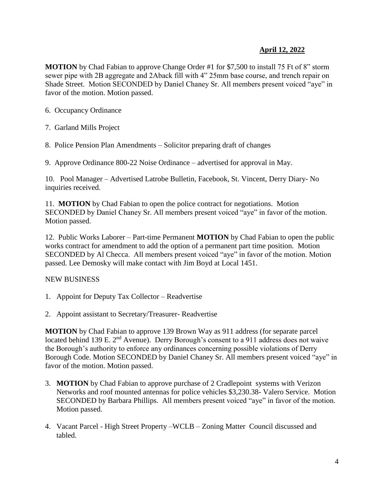**MOTION** by Chad Fabian to approve Change Order #1 for \$7,500 to install 75 Ft of 8" storm sewer pipe with 2B aggregate and 2Aback fill with 4" 25mm base course, and trench repair on Shade Street. Motion SECONDED by Daniel Chaney Sr. All members present voiced "aye" in favor of the motion. Motion passed.

6. Occupancy Ordinance

7. Garland Mills Project

8. Police Pension Plan Amendments – Solicitor preparing draft of changes

9. Approve Ordinance 800-22 Noise Ordinance – advertised for approval in May.

10. Pool Manager – Advertised Latrobe Bulletin, Facebook, St. Vincent, Derry Diary- No inquiries received.

11. **MOTION** by Chad Fabian to open the police contract for negotiations. Motion SECONDED by Daniel Chaney Sr. All members present voiced "aye" in favor of the motion. Motion passed.

12. Public Works Laborer – Part-time Permanent **MOTION** by Chad Fabian to open the public works contract for amendment to add the option of a permanent part time position. Motion SECONDED by Al Checca. All members present voiced "aye" in favor of the motion. Motion passed. Lee Demosky will make contact with Jim Boyd at Local 1451.

NEW BUSINESS

- 1. Appoint for Deputy Tax Collector Readvertise
- 2. Appoint assistant to Secretary/Treasurer- Readvertise

**MOTION** by Chad Fabian to approve 139 Brown Way as 911 address (for separate parcel located behind 139 E. 2<sup>nd</sup> Avenue). Derry Borough's consent to a 911 address does not waive the Borough's authority to enforce any ordinances concerning possible violations of Derry Borough Code. Motion SECONDED by Daniel Chaney Sr. All members present voiced "aye" in favor of the motion. Motion passed.

- 3. **MOTION** by Chad Fabian to approve purchase of 2 Cradlepoint systems with Verizon Networks and roof mounted antennas for police vehicles \$3,230.38- Valero Service. Motion SECONDED by Barbara Phillips. All members present voiced "aye" in favor of the motion. Motion passed.
- 4. Vacant Parcel High Street Property –WCLB Zoning Matter Council discussed and tabled.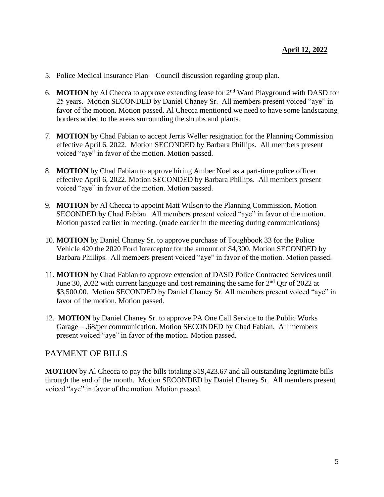- 5. Police Medical Insurance Plan Council discussion regarding group plan.
- 6. **MOTION** by Al Checca to approve extending lease for 2nd Ward Playground with DASD for 25 years. Motion SECONDED by Daniel Chaney Sr. All members present voiced "aye" in favor of the motion. Motion passed. Al Checca mentioned we need to have some landscaping borders added to the areas surrounding the shrubs and plants.
- 7. **MOTION** by Chad Fabian to accept Jerris Weller resignation for the Planning Commission effective April 6, 2022. Motion SECONDED by Barbara Phillips. All members present voiced "aye" in favor of the motion. Motion passed.
- 8. **MOTION** by Chad Fabian to approve hiring Amber Noel as a part-time police officer effective April 6, 2022. Motion SECONDED by Barbara Phillips. All members present voiced "aye" in favor of the motion. Motion passed.
- 9. **MOTION** by Al Checca to appoint Matt Wilson to the Planning Commission. Motion SECONDED by Chad Fabian. All members present voiced "aye" in favor of the motion. Motion passed earlier in meeting. (made earlier in the meeting during communications)
- 10. **MOTION** by Daniel Chaney Sr. to approve purchase of Toughbook 33 for the Police Vehicle 420 the 2020 Ford Interceptor for the amount of \$4,300. Motion SECONDED by Barbara Phillips. All members present voiced "aye" in favor of the motion. Motion passed.
- 11. **MOTION** by Chad Fabian to approve extension of DASD Police Contracted Services until June 30, 2022 with current language and cost remaining the same for  $2<sup>nd</sup>$  Otr of 2022 at \$3,500.00. Motion SECONDED by Daniel Chaney Sr. All members present voiced "aye" in favor of the motion. Motion passed.
- 12. **MOTION** by Daniel Chaney Sr. to approve PA One Call Service to the Public Works Garage – .68/per communication. Motion SECONDED by Chad Fabian. All members present voiced "aye" in favor of the motion. Motion passed.

# PAYMENT OF BILLS

**MOTION** by Al Checca to pay the bills totaling \$19,423.67 and all outstanding legitimate bills through the end of the month. Motion SECONDED by Daniel Chaney Sr. All members present voiced "aye" in favor of the motion. Motion passed